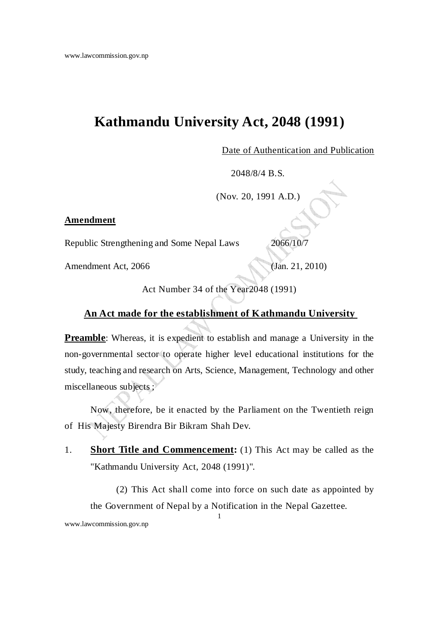## **Kathmandu University Act, 2048 (1991)**

Date of Authentication and Publication

2048/8/4 B.S.

(Nov. 20, 1991 A.D.)

## **Amendment**

Republic Strengthening and Some Nepal Laws 2066/10/7

Amendment Act, 2066 (Jan. 21, 2010)

Act Number 34 of the Year2048 (1991)

## **An Act made for the establishment of Kathmandu University**

**Preamble**: Whereas, it is expedient to establish and manage a University in the non-governmental sector to operate higher level educational institutions for the study, teaching and research on Arts, Science, Management, Technology and other miscellaneous subjects ;

Now, therefore, be it enacted by the Parliament on the Twentieth reign of His Majesty Birendra Bir Bikram Shah Dev.

1. **Short Title and Commencement:** (1) This Act may be called as the "Kathmandu University Act, 2048 (1991)".

1

 (2) This Act shall come into force on such date as appointed by the Government of Nepal by a Notification in the Nepal Gazettee.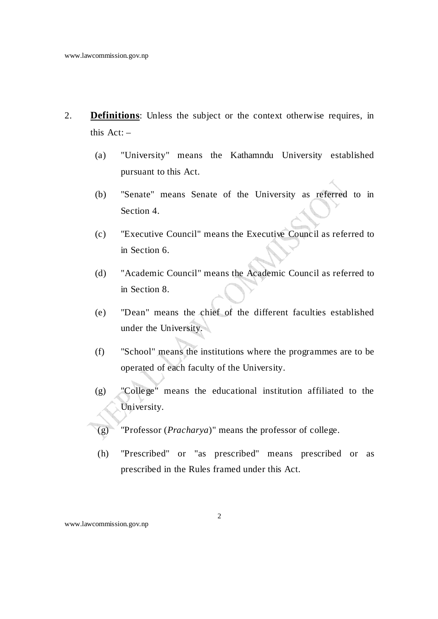- 2. **Definitions**: Unless the subject or the context otherwise requires, in this  $Act: -$ 
	- (a) "University" means the Kathamndu University established pursuant to this Act.
	- (b) "Senate" means Senate of the University as referred to in Section 4.
	- (c) "Executive Council" means the Executive Council as referred to in Section 6.
	- (d) "Academic Council" means the Academic Council as referred to in Section 8.
	- (e) "Dean" means the chief of the different faculties established under the University.
	- (f) "School" means the institutions where the programmes are to be operated of each faculty of the University.
	- (g) "College" means the educational institution affiliated to the University.
	- (g) "Professor (*Pracharya*)" means the professor of college.
	- (h) "Prescribed" or "as prescribed" means prescribed or as prescribed in the Rules framed under this Act.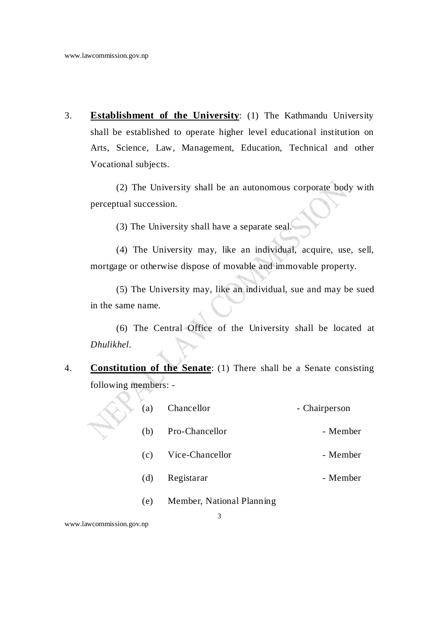3. **Establishment of the University**: (1) The Kathmandu University shall be established to operate higher level educational institution on Arts, Science, Law, Management, Education, Technical and other Vocational subjects.

 (2) The University shall be an autonomous corporate body with perceptual succession.

(3) The University shall have a separate seal.

 (4) The University may, like an individual, acquire, use, sell, mortgage or otherwise dispose of movable and immovable property.

 (5) The University may, like an individual, sue and may be sued in the same name.

 (6) The Central Office of the University shall be located at *Dhulikhel*.

4. **Constitution of the Senate**: (1) There shall be a Senate consisting following members: -

| (a) | Chancellor                | - Chairperson |  |
|-----|---------------------------|---------------|--|
| (b) | Pro-Chancellor            | - Member      |  |
| (c) | Vice-Chancellor           | - Member      |  |
| (d) | Registarar                | - Member      |  |
| (e) | Member, National Planning |               |  |
|     |                           |               |  |

www.lawcommission.gov.np

k. g.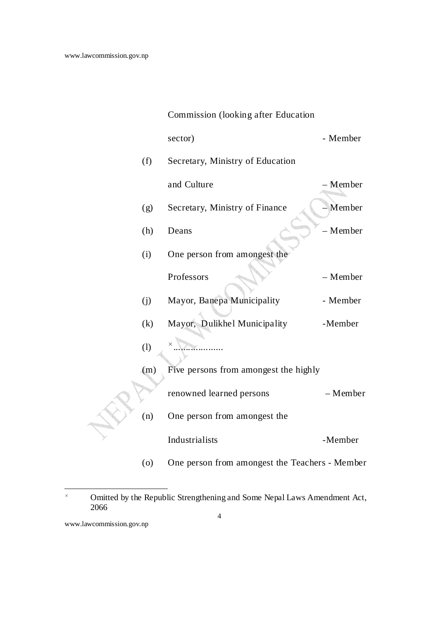|     | Commission (looking after Education            |          |
|-----|------------------------------------------------|----------|
|     | sector)                                        | - Member |
| (f) | Secretary, Ministry of Education               |          |
|     | and Culture                                    | - Member |
| (g) | Secretary, Ministry of Finance                 | Member   |
| (h) | Deans                                          | - Member |
| (i) | One person from amongest the                   |          |
|     | Professors                                     | - Member |
| (j) | Mayor, Banepa Municipality                     | - Member |
| (k) | Mayor, Dulikhel Municipality                   | -Member  |
| (1) |                                                |          |
| (m) | Five persons from amongest the highly          |          |
|     | renowned learned persons                       | - Member |
| (n) | One person from amongest the                   |          |
|     | Industrialists                                 | -Member  |
| (0) | One person from amongest the Teachers - Member |          |

<sup>4</sup>   $\times$  Omitted by the Republic Strengthening and Some Nepal Laws Amendment Act, 2066

www.lawcommission.gov.np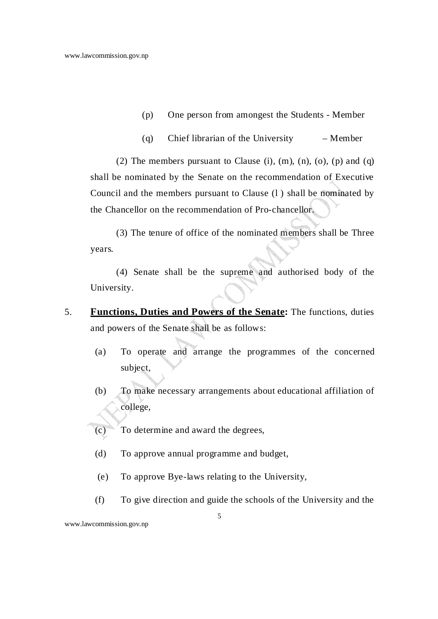- (p) One person from amongest the Students Member
- (q) Chief librarian of the University Member

(2) The members pursuant to Clause (i),  $(m)$ ,  $(n)$ ,  $(o)$ ,  $(p)$  and  $(q)$ shall be nominated by the Senate on the recommendation of Executive Council and the members pursuant to Clause (l ) shall be nominated by the Chancellor on the recommendation of Pro-chancellor.

 (3) The tenure of office of the nominated members shall be Three years.

 (4) Senate shall be the supreme and authorised body of the University.

- 5. **Functions, Duties and Powers of the Senate:** The functions, duties and powers of the Senate shall be as follows:
	- (a) To operate and arrange the programmes of the concerned subject,
	- (b) To make necessary arrangements about educational affiliation of college,
	- (c) To determine and award the degrees,
	- (d) To approve annual programme and budget,
	- (e) To approve Bye-laws relating to the University,
	- (f) To give direction and guide the schools of the University and the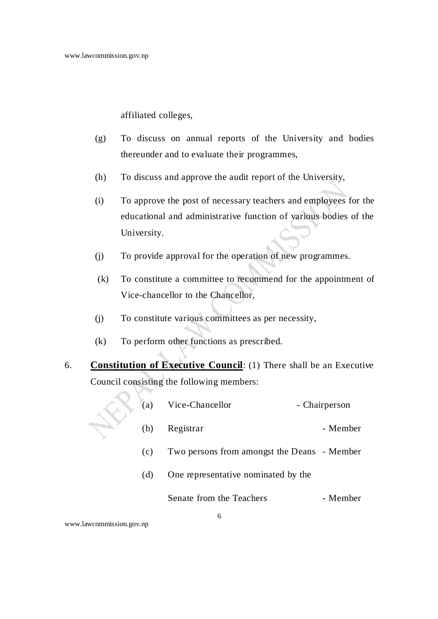affiliated colleges,

- (g) To discuss on annual reports of the University and bodies thereunder and to evaluate their programmes,
- (h) To discuss and approve the audit report of the University,
- (i) To approve the post of necessary teachers and employees for the educational and administrative function of various bodies of the University.
- (j) To provide approval for the operation of new programmes.
- (k) To constitute a committee to recommend for the appointment of Vice-chancellor to the Chancellor,
- (j) To constitute various committees as per necessity,
- (k) To perform other functions as prescribed.
- 6. **Constitution of Executive Council**: (1) There shall be an Executive Council consisting the following members:

| (a)                                        | Vice-Chancellor                             | - Chairperson |
|--------------------------------------------|---------------------------------------------|---------------|
| (b)                                        | Registrar                                   | - Member      |
| (c)                                        | Two persons from amongst the Deans - Member |               |
| One representative nominated by the<br>(d) |                                             |               |
|                                            | Senate from the Teachers                    | - Member      |
|                                            | h                                           |               |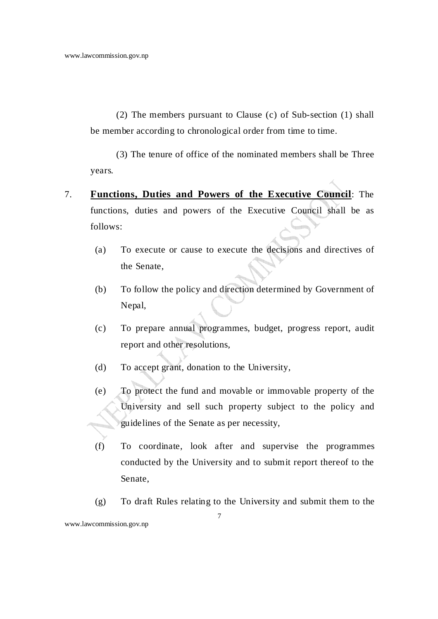(2) The members pursuant to Clause (c) of Sub-section (1) shall be member according to chronological order from time to time.

 (3) The tenure of office of the nominated members shall be Three years.

- 7. **Functions, Duties and Powers of the Executive Council**: The functions, duties and powers of the Executive Council shall be as follows:
	- (a) To execute or cause to execute the decisions and directives of the Senate,
	- (b) To follow the policy and direction determined by Government of Nepal,
	- (c) To prepare annual programmes, budget, progress report, audit report and other resolutions,
	- (d) To accept grant, donation to the University,
	- (e) To protect the fund and movable or immovable property of the University and sell such property subject to the policy and guidelines of the Senate as per necessity,
	- (f) To coordinate, look after and supervise the programmes conducted by the University and to submit report thereof to the Senate,
- 7 www.lawcommission.gov.np (g) To draft Rules relating to the University and submit them to the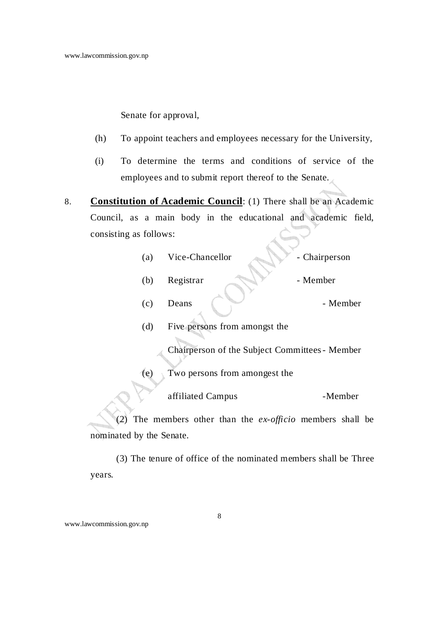Senate for approval,

- (h) To appoint teachers and employees necessary for the University,
- (i) To determine the terms and conditions of service of the employees and to submit report thereof to the Senate.
- 8. **Constitution of Academic Council**: (1) There shall be an Academic Council, as a main body in the educational and academic field, consisting as follows:
	- (a) Vice-Chancellor Chairperson
	- (b) Registrar Member
	- (c) Deans (C) Deans Member

(d) Five persons from amongst the

Chairperson of the Subject Committees - Member

(e) Two persons from amongest the

affiliated Campus -Member

 (2) The members other than the *ex-officio* members shall be nominated by the Senate.

 (3) The tenure of office of the nominated members shall be Three years.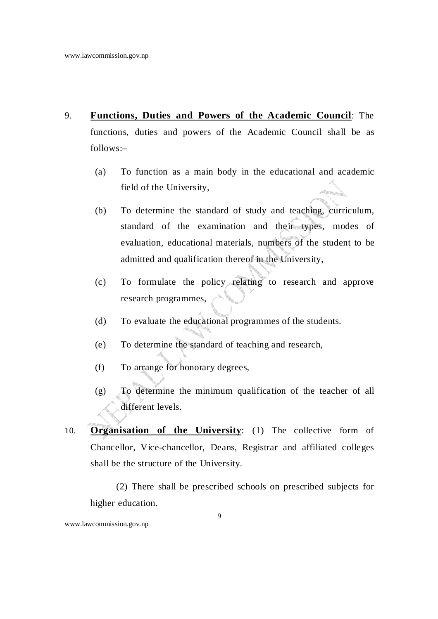- 9. **Functions, Duties and Powers of the Academic Council**: The functions, duties and powers of the Academic Council shall be as follows:–
	- (a) To function as a main body in the educational and academic field of the University,
	- (b) To determine the standard of study and teaching, curriculum, standard of the examination and their types, modes of evaluation, educational materials, numbers of the student to be admitted and qualification thereof in the University,
	- (c) To formulate the policy relating to research and approve research programmes,
	- (d) To evaluate the educational programmes of the students.
	- (e) To determine the standard of teaching and research,
	- (f) To arrange for honorary degrees,
	- (g) To determine the minimum qualification of the teacher of all different levels.
- 10. **Organisation of the University**: (1) The collective form of Chancellor, Vice-chancellor, Deans, Registrar and affiliated colleges shall be the structure of the University.

 (2) There shall be prescribed schools on prescribed subjects for higher education.

www.lawcommission.gov.np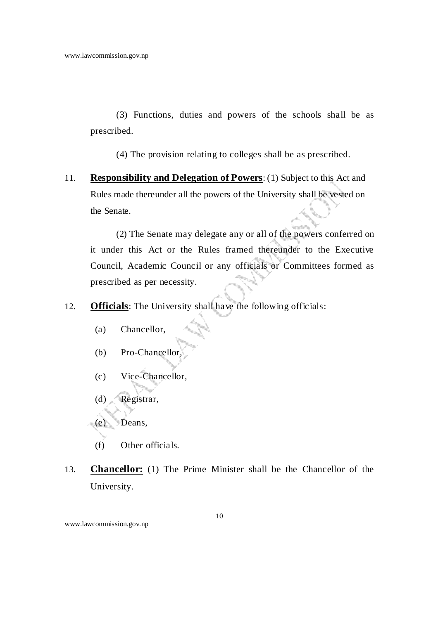(3) Functions, duties and powers of the schools shall be as prescribed.

(4) The provision relating to colleges shall be as prescribed.

11. **Responsibility and Delegation of Powers**: (1) Subject to this Act and Rules made thereunder all the powers of the University shall be vested on the Senate.

 (2) The Senate may delegate any or all of the powers conferred on it under this Act or the Rules framed thereunder to the Executive Council, Academic Council or any officials or Committees formed as prescribed as per necessity.

- 12. **Officials**: The University shall have the following officials:
	- (a) Chancellor,
	- (b) Pro-Chancellor,
	- (c) Vice-Chancellor,
	- (d) Registrar,
	- (e) Deans,
	- (f) Other officials.
- 13. **Chancellor:** (1) The Prime Minister shall be the Chancellor of the University.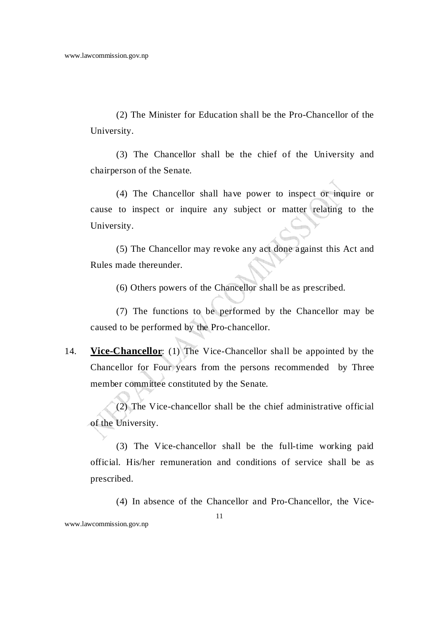(2) The Minister for Education shall be the Pro-Chancellor of the University.

 (3) The Chancellor shall be the chief of the University and chairperson of the Senate.

 (4) The Chancellor shall have power to inspect or inquire or cause to inspect or inquire any subject or matter relating to the University.

 (5) The Chancellor may revoke any act done against this Act and Rules made thereunder.

(6) Others powers of the Chancellor shall be as prescribed.

 (7) The functions to be performed by the Chancellor may be caused to be performed by the Pro-chancellor.

14. **Vice-Chancellor**: (1) The Vice-Chancellor shall be appointed by the Chancellor for Four years from the persons recommended by Three member committee constituted by the Senate.

(2) The Vice-chancellor shall be the chief administrative official of the University.

(3) The Vice-chancellor shall be the full-time working paid official. His/her remuneration and conditions of service shall be as prescribed.

(4) In absence of the Chancellor and Pro-Chancellor, the Vice-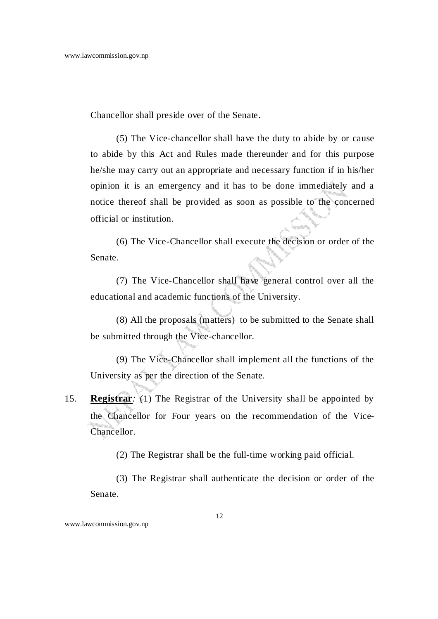Chancellor shall preside over of the Senate.

(5) The Vice-chancellor shall have the duty to abide by or cause to abide by this Act and Rules made thereunder and for this purpose he/she may carry out an appropriate and necessary function if in his/her opinion it is an emergency and it has to be done immediately and a notice thereof shall be provided as soon as possible to the concerned official or institution.

(6) The Vice-Chancellor shall execute the decision or order of the Senate.

(7) The Vice-Chancellor shall have general control over all the educational and academic functions of the University.

 (8) All the proposals (matters) to be submitted to the Senate shall be submitted through the Vice-chancellor.

 (9) The Vice-Chancellor shall implement all the functions of the University as per the direction of the Senate.

15. **Registrar***:* (1) The Registrar of the University shall be appointed by the Chancellor for Four years on the recommendation of the Vice-Chancellor.

(2) The Registrar shall be the full-time working paid official.

 (3) The Registrar shall authenticate the decision or order of the Senate.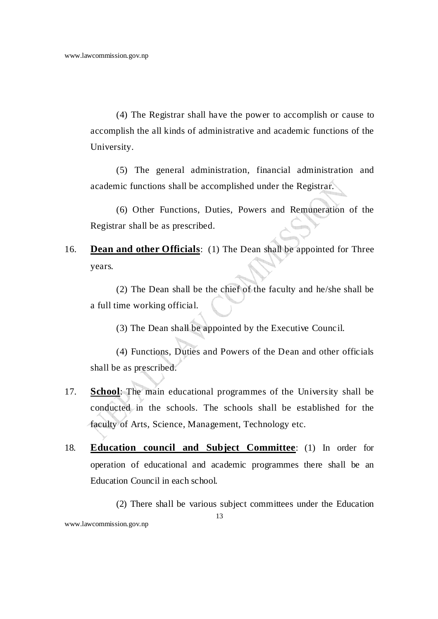(4) The Registrar shall have the power to accomplish or cause to accomplish the all kinds of administrative and academic functions of the University.

 (5) The general administration, financial administration and academic functions shall be accomplished under the Registrar.

(6) Other Functions, Duties, Powers and Remuneration of the Registrar shall be as prescribed.

16. **Dean and other Officials**: (1) The Dean shall be appointed for Three years.

(2) The Dean shall be the chief of the faculty and he/she shall be a full time working official.

(3) The Dean shall be appointed by the Executive Council.

(4) Functions, Duties and Powers of the Dean and other officials shall be as prescribed.

- 17. **School**: The main educational programmes of the University shall be conducted in the schools. The schools shall be established for the faculty of Arts, Science, Management, Technology etc.
- 18. **Education council and Subject Committee**: (1) In order for operation of educational and academic programmes there shall be an Education Council in each school.

13 (2) There shall be various subject committees under the Education